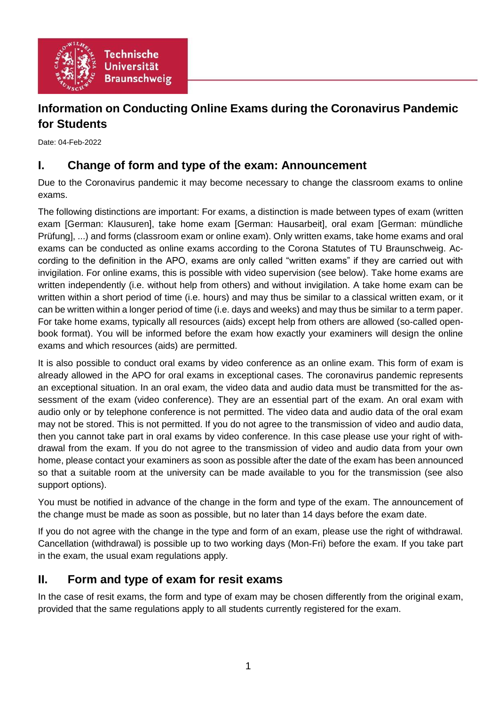

# **Information on Conducting Online Exams during the Coronavirus Pandemic for Students**

Date: 04-Feb-2022

## **I. Change of form and type of the exam: Announcement**

Due to the Coronavirus pandemic it may become necessary to change the classroom exams to online exams.

The following distinctions are important: For exams, a distinction is made between types of exam (written exam [German: Klausuren], take home exam [German: Hausarbeit], oral exam [German: mündliche Prüfung], ...) and forms (classroom exam or online exam). Only written exams, take home exams and oral exams can be conducted as online exams according to the Corona Statutes of TU Braunschweig. According to the definition in the APO, exams are only called "written exams" if they are carried out with invigilation. For online exams, this is possible with video supervision (see below). Take home exams are written independently (i.e. without help from others) and without invigilation. A take home exam can be written within a short period of time (i.e. hours) and may thus be similar to a classical written exam, or it can be written within a longer period of time (i.e. days and weeks) and may thus be similar to a term paper. For take home exams, typically all resources (aids) except help from others are allowed (so-called openbook format). You will be informed before the exam how exactly your examiners will design the online exams and which resources (aids) are permitted.

It is also possible to conduct oral exams by video conference as an online exam. This form of exam is already allowed in the APO for oral exams in exceptional cases. The coronavirus pandemic represents an exceptional situation. In an oral exam, the video data and audio data must be transmitted for the assessment of the exam (video conference). They are an essential part of the exam. An oral exam with audio only or by telephone conference is not permitted. The video data and audio data of the oral exam may not be stored. This is not permitted. If you do not agree to the transmission of video and audio data, then you cannot take part in oral exams by video conference. In this case please use your right of withdrawal from the exam. If you do not agree to the transmission of video and audio data from your own home, please contact your examiners as soon as possible after the date of the exam has been announced so that a suitable room at the university can be made available to you for the transmission (see also support options).

You must be notified in advance of the change in the form and type of the exam. The announcement of the change must be made as soon as possible, but no later than 14 days before the exam date.

If you do not agree with the change in the type and form of an exam, please use the right of withdrawal. Cancellation (withdrawal) is possible up to two working days (Mon-Fri) before the exam. If you take part in the exam, the usual exam regulations apply.

## **II. Form and type of exam for resit exams**

In the case of resit exams, the form and type of exam may be chosen differently from the original exam, provided that the same regulations apply to all students currently registered for the exam.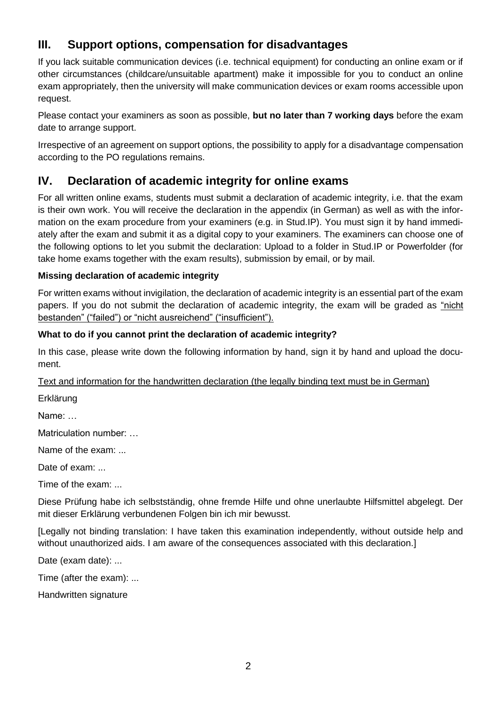## **III. Support options, compensation for disadvantages**

If you lack suitable communication devices (i.e. technical equipment) for conducting an online exam or if other circumstances (childcare/unsuitable apartment) make it impossible for you to conduct an online exam appropriately, then the university will make communication devices or exam rooms accessible upon request.

Please contact your examiners as soon as possible, **but no later than 7 working days** before the exam date to arrange support.

Irrespective of an agreement on support options, the possibility to apply for a disadvantage compensation according to the PO regulations remains.

## **IV. Declaration of academic integrity for online exams**

For all written online exams, students must submit a declaration of academic integrity, i.e. that the exam is their own work. You will receive the declaration in the appendix (in German) as well as with the information on the exam procedure from your examiners (e.g. in Stud.IP). You must sign it by hand immediately after the exam and submit it as a digital copy to your examiners. The examiners can choose one of the following options to let you submit the declaration: Upload to a folder in Stud.IP or Powerfolder (for take home exams together with the exam results), submission by email, or by mail.

### **Missing declaration of academic integrity**

For written exams without invigilation, the declaration of academic integrity is an essential part of the exam papers. If you do not submit the declaration of academic integrity, the exam will be graded as "nicht bestanden" ("failed") or "nicht ausreichend" ("insufficient").

### **What to do if you cannot print the declaration of academic integrity?**

In this case, please write down the following information by hand, sign it by hand and upload the document.

Text and information for the handwritten declaration (the legally binding text must be in German)

Erklärung

Name: …

Matriculation number: ...

Name of the exam: ...

Date of exam: ...

Time of the exam: ...

Diese Prüfung habe ich selbstständig, ohne fremde Hilfe und ohne unerlaubte Hilfsmittel abgelegt. Der mit dieser Erklärung verbundenen Folgen bin ich mir bewusst.

[Legally not binding translation: I have taken this examination independently, without outside help and without unauthorized aids. I am aware of the consequences associated with this declaration.]

Date (exam date): ...

Time (after the exam): ...

Handwritten signature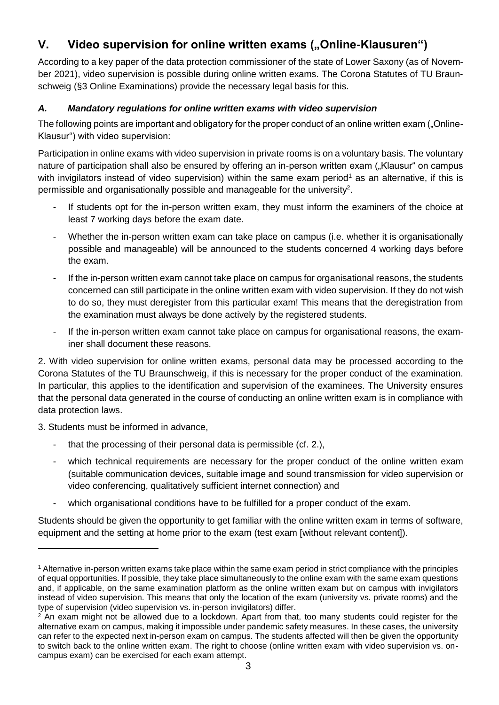# **V.** Video supervision for online written exams ("Online-Klausuren")

According to a key paper of the data protection commissioner of the state of Lower Saxony (as of November 2021), video supervision is possible during online written exams. The Corona Statutes of TU Braunschweig (§3 Online Examinations) provide the necessary legal basis for this.

### *A. Mandatory regulations for online written exams with video supervision*

The following points are important and obligatory for the proper conduct of an online written exam ("Online-Klausur") with video supervision:

Participation in online exams with video supervision in private rooms is on a voluntary basis. The voluntary nature of participation shall also be ensured by offering an in-person written exam ("Klausur" on campus with invigilators instead of video supervision) within the same exam period<sup>1</sup> as an alternative, if this is permissible and organisationally possible and manageable for the university<sup>2</sup>.

- If students opt for the in-person written exam, they must inform the examiners of the choice at least 7 working days before the exam date.
- Whether the in-person written exam can take place on campus (i.e. whether it is organisationally possible and manageable) will be announced to the students concerned 4 working days before the exam.
- If the in-person written exam cannot take place on campus for organisational reasons, the students concerned can still participate in the online written exam with video supervision. If they do not wish to do so, they must deregister from this particular exam! This means that the deregistration from the examination must always be done actively by the registered students.
- If the in-person written exam cannot take place on campus for organisational reasons, the examiner shall document these reasons.

2. With video supervision for online written exams, personal data may be processed according to the Corona Statutes of the TU Braunschweig, if this is necessary for the proper conduct of the examination. In particular, this applies to the identification and supervision of the examinees. The University ensures that the personal data generated in the course of conducting an online written exam is in compliance with data protection laws.

3. Students must be informed in advance,

1

- that the processing of their personal data is permissible (cf. 2.),
- which technical requirements are necessary for the proper conduct of the online written exam (suitable communication devices, suitable image and sound transmission for video supervision or video conferencing, qualitatively sufficient internet connection) and
- which organisational conditions have to be fulfilled for a proper conduct of the exam.

Students should be given the opportunity to get familiar with the online written exam in terms of software, equipment and the setting at home prior to the exam (test exam [without relevant content]).

<sup>1</sup> Alternative in-person written exams take place within the same exam period in strict compliance with the principles of equal opportunities. If possible, they take place simultaneously to the online exam with the same exam questions and, if applicable, on the same examination platform as the online written exam but on campus with invigilators instead of video supervision. This means that only the location of the exam (university vs. private rooms) and the type of supervision (video supervision vs. in-person invigilators) differ.

 $2$  An exam might not be allowed due to a lockdown. Apart from that, too many students could register for the alternative exam on campus, making it impossible under pandemic safety measures. In these cases, the university can refer to the expected next in-person exam on campus. The students affected will then be given the opportunity to switch back to the online written exam. The right to choose (online written exam with video supervision vs. oncampus exam) can be exercised for each exam attempt.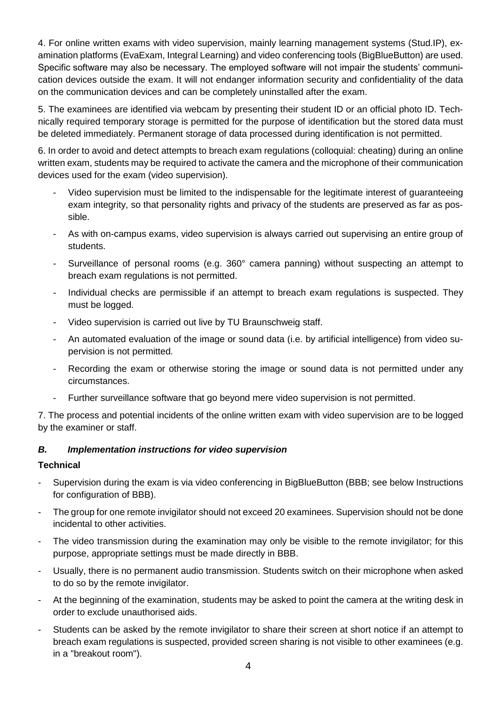4. For online written exams with video supervision, mainly learning management systems (Stud.IP), examination platforms (EvaExam, Integral Learning) and video conferencing tools (BigBlueButton) are used. Specific software may also be necessary. The employed software will not impair the students' communication devices outside the exam. It will not endanger information security and confidentiality of the data on the communication devices and can be completely uninstalled after the exam.

5. The examinees are identified via webcam by presenting their student ID or an official photo ID. Technically required temporary storage is permitted for the purpose of identification but the stored data must be deleted immediately. Permanent storage of data processed during identification is not permitted.

6. In order to avoid and detect attempts to breach exam regulations (colloquial: cheating) during an online written exam, students may be required to activate the camera and the microphone of their communication devices used for the exam (video supervision).

- Video supervision must be limited to the indispensable for the legitimate interest of guaranteeing exam integrity, so that personality rights and privacy of the students are preserved as far as possible.
- As with on-campus exams, video supervision is always carried out supervising an entire group of students.
- Surveillance of personal rooms (e.g. 360° camera panning) without suspecting an attempt to breach exam regulations is not permitted.
- Individual checks are permissible if an attempt to breach exam regulations is suspected. They must be logged.
- Video supervision is carried out live by TU Braunschweig staff.
- An automated evaluation of the image or sound data (i.e. by artificial intelligence) from video supervision is not permitted.
- Recording the exam or otherwise storing the image or sound data is not permitted under any circumstances.
- Further surveillance software that go beyond mere video supervision is not permitted.

7. The process and potential incidents of the online written exam with video supervision are to be logged by the examiner or staff.

#### *B. Implementation instructions for video supervision*

#### **Technical**

- Supervision during the exam is via video conferencing in BigBlueButton (BBB; see below Instructions for configuration of BBB).
- The group for one remote invigilator should not exceed 20 examinees. Supervision should not be done incidental to other activities.
- The video transmission during the examination may only be visible to the remote invigilator; for this purpose, appropriate settings must be made directly in BBB.
- Usually, there is no permanent audio transmission. Students switch on their microphone when asked to do so by the remote invigilator.
- At the beginning of the examination, students may be asked to point the camera at the writing desk in order to exclude unauthorised aids.
- Students can be asked by the remote invigilator to share their screen at short notice if an attempt to breach exam regulations is suspected, provided screen sharing is not visible to other examinees (e.g. in a "breakout room").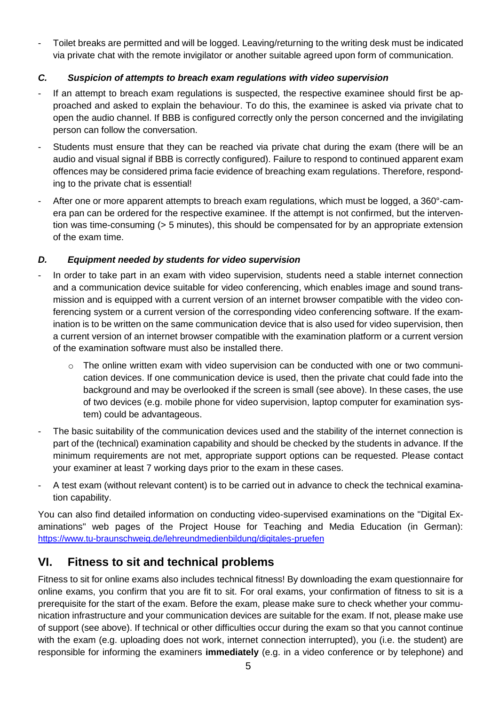- Toilet breaks are permitted and will be logged. Leaving/returning to the writing desk must be indicated via private chat with the remote invigilator or another suitable agreed upon form of communication.

#### *C. Suspicion of attempts to breach exam regulations with video supervision*

- If an attempt to breach exam regulations is suspected, the respective examinee should first be approached and asked to explain the behaviour. To do this, the examinee is asked via private chat to open the audio channel. If BBB is configured correctly only the person concerned and the invigilating person can follow the conversation.
- Students must ensure that they can be reached via private chat during the exam (there will be an audio and visual signal if BBB is correctly configured). Failure to respond to continued apparent exam offences may be considered prima facie evidence of breaching exam regulations. Therefore, responding to the private chat is essential!
- After one or more apparent attempts to breach exam regulations, which must be logged, a 360°-camera pan can be ordered for the respective examinee. If the attempt is not confirmed, but the intervention was time-consuming (> 5 minutes), this should be compensated for by an appropriate extension of the exam time.

#### *D. Equipment needed by students for video supervision*

- In order to take part in an exam with video supervision, students need a stable internet connection and a communication device suitable for video conferencing, which enables image and sound transmission and is equipped with a current version of an internet browser compatible with the video conferencing system or a current version of the corresponding video conferencing software. If the examination is to be written on the same communication device that is also used for video supervision, then a current version of an internet browser compatible with the examination platform or a current version of the examination software must also be installed there.
	- $\circ$  The online written exam with video supervision can be conducted with one or two communication devices. If one communication device is used, then the private chat could fade into the background and may be overlooked if the screen is small (see above). In these cases, the use of two devices (e.g. mobile phone for video supervision, laptop computer for examination system) could be advantageous.
- The basic suitability of the communication devices used and the stability of the internet connection is part of the (technical) examination capability and should be checked by the students in advance. If the minimum requirements are not met, appropriate support options can be requested. Please contact your examiner at least 7 working days prior to the exam in these cases.
- A test exam (without relevant content) is to be carried out in advance to check the technical examination capability.

You can also find detailed information on conducting video-supervised examinations on the "Digital Examinations" web pages of the Project House for Teaching and Media Education (in German): <https://www.tu-braunschweig.de/lehreundmedienbildung/digitales-pruefen>

## **VI. Fitness to sit and technical problems**

Fitness to sit for online exams also includes technical fitness! By downloading the exam questionnaire for online exams, you confirm that you are fit to sit. For oral exams, your confirmation of fitness to sit is a prerequisite for the start of the exam. Before the exam, please make sure to check whether your communication infrastructure and your communication devices are suitable for the exam. If not, please make use of support (see above). If technical or other difficulties occur during the exam so that you cannot continue with the exam (e.g. uploading does not work, internet connection interrupted), you (i.e. the student) are responsible for informing the examiners **immediately** (e.g. in a video conference or by telephone) and